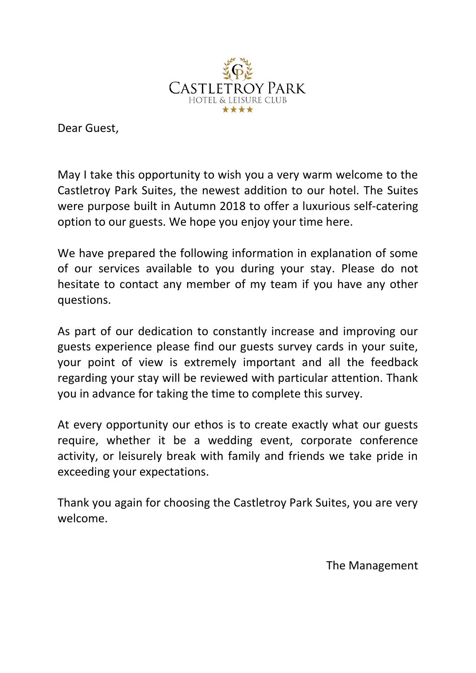

Dear Guest,

May I take this opportunity to wish you a very warm welcome to the Castletroy Park Suites, the newest addition to our hotel. The Suites were purpose built in Autumn 2018 to offer a luxurious self-catering option to our guests. We hope you enjoy your time here.

We have prepared the following information in explanation of some of our services available to you during your stay. Please do not hesitate to contact any member of my team if you have any other questions.

As part of our dedication to constantly increase and improving our guests experience please find our guests survey cards in your suite, your point of view is extremely important and all the feedback regarding your stay will be reviewed with particular attention. Thank you in advance for taking the time to complete this survey.

At every opportunity our ethos is to create exactly what our guests require, whether it be a wedding event, corporate conference activity, or leisurely break with family and friends we take pride in exceeding your expectations.

Thank you again for choosing the Castletroy Park Suites, you are very welcome.

The Management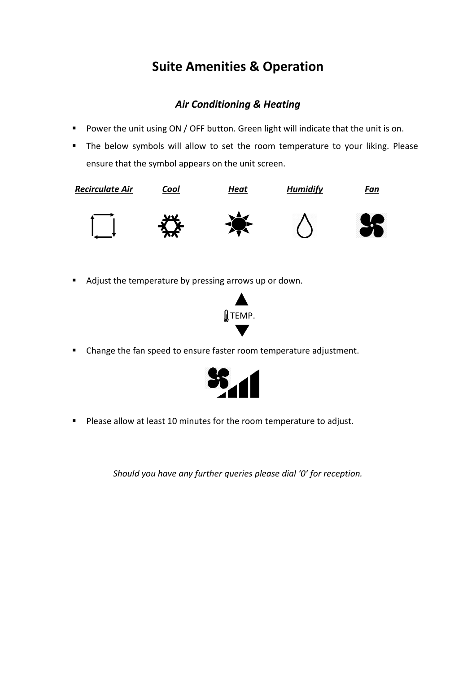# **Suite Amenities & Operation**

## *Air Conditioning & Heating*

- Power the unit using ON / OFF button. Green light will indicate that the unit is on.
- The below symbols will allow to set the room temperature to your liking. Please ensure that the symbol appears on the unit screen.



■ Adjust the temperature by pressing arrows up or down.



▪ Change the fan speed to ensure faster room temperature adjustment.



■ Please allow at least 10 minutes for the room temperature to adjust.

*Should you have any further queries please dial '0' for reception.*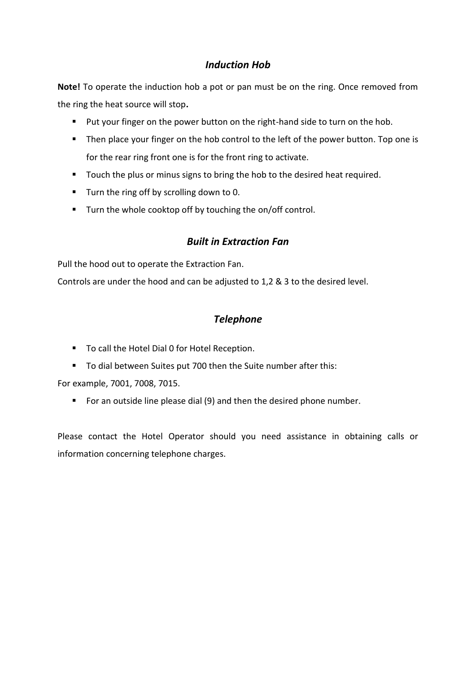## *Induction Hob*

**Note!** To operate the induction hob a pot or pan must be on the ring. Once removed from the ring the heat source will stop**.** 

- Put your finger on the power button on the right-hand side to turn on the hob.
- Then place your finger on the hob control to the left of the power button. Top one is for the rear ring front one is for the front ring to activate.
- Touch the plus or minus signs to bring the hob to the desired heat required.
- Turn the ring off by scrolling down to 0.
- Turn the whole cooktop off by touching the on/off control.

## *Built in Extraction Fan*

Pull the hood out to operate the Extraction Fan.

Controls are under the hood and can be adjusted to 1,2 & 3 to the desired level.

## *Telephone*

- To call the Hotel Dial 0 for Hotel Reception.
- To dial between Suites put 700 then the Suite number after this:

For example, 7001, 7008, 7015.

■ For an outside line please dial (9) and then the desired phone number.

Please contact the Hotel Operator should you need assistance in obtaining calls or information concerning telephone charges.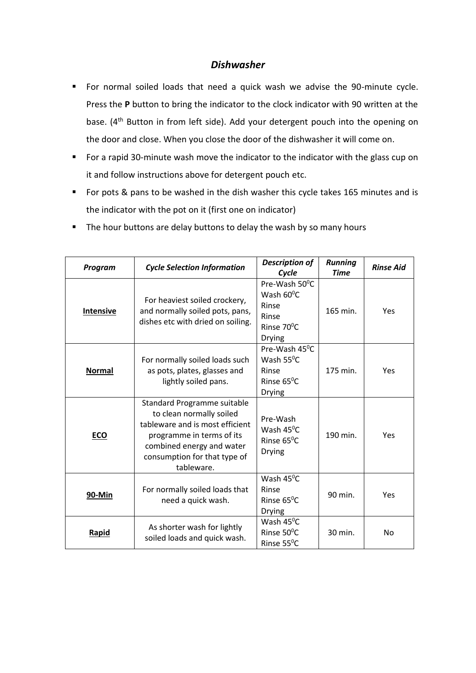## *Dishwasher*

- For normal soiled loads that need a quick wash we advise the 90-minute cycle. Press the **P** button to bring the indicator to the clock indicator with 90 written at the base. (4<sup>th</sup> Button in from left side). Add your detergent pouch into the opening on the door and close. When you close the door of the dishwasher it will come on.
- For a rapid 30-minute wash move the indicator to the indicator with the glass cup on it and follow instructions above for detergent pouch etc.
- For pots & pans to be washed in the dish washer this cycle takes 165 minutes and is the indicator with the pot on it (first one on indicator)
- The hour buttons are delay buttons to delay the wash by so many hours

| Program          | <b>Cycle Selection Information</b>                                                                                                                                                                 | <b>Description of</b><br>Cycle                                                         | <b>Running</b><br><b>Time</b> | <b>Rinse Aid</b> |
|------------------|----------------------------------------------------------------------------------------------------------------------------------------------------------------------------------------------------|----------------------------------------------------------------------------------------|-------------------------------|------------------|
| <b>Intensive</b> | For heaviest soiled crockery,<br>and normally soiled pots, pans,<br>dishes etc with dried on soiling.                                                                                              | Pre-Wash 50°C<br>Wash $60^{\circ}$ C<br>Rinse<br>Rinse<br>Rinse 70°C<br><b>Drying</b>  | 165 min.                      | <b>Yes</b>       |
| <b>Normal</b>    | For normally soiled loads such<br>as pots, plates, glasses and<br>lightly soiled pans.                                                                                                             | Pre-Wash 45°C<br>Wash $55^{\circ}$ C<br>Rinse<br>Rinse $65^{\circ}$ C<br><b>Drying</b> | 175 min.                      | Yes              |
| <b>ECO</b>       | Standard Programme suitable<br>to clean normally soiled<br>tableware and is most efficient<br>programme in terms of its<br>combined energy and water<br>consumption for that type of<br>tableware. | Pre-Wash<br>Wash $45^{\circ}$ C<br>Rinse $65^{\circ}$ C<br><b>Drying</b>               | 190 min.                      | Yes              |
| 90-Min           | For normally soiled loads that<br>need a quick wash.                                                                                                                                               | Wash $45^{\circ}$ C<br>Rinse<br>Rinse $65^{\circ}$ C<br><b>Drying</b>                  | 90 min.                       | Yes              |
| Rapid            | As shorter wash for lightly<br>soiled loads and quick wash.                                                                                                                                        | Wash $45^{\circ}$ C<br>Rinse $50^{\circ}$ C<br>Rinse 55°C                              | 30 min.                       | N <sub>o</sub>   |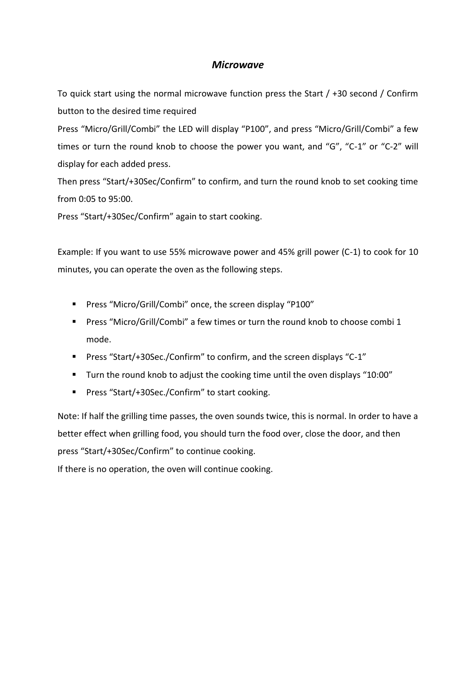## *Microwave*

To quick start using the normal microwave function press the Start / +30 second / Confirm button to the desired time required

Press "Micro/Grill/Combi" the LED will display "P100", and press "Micro/Grill/Combi" a few times or turn the round knob to choose the power you want, and "G", "C-1" or "C-2" will display for each added press.

Then press "Start/+30Sec/Confirm" to confirm, and turn the round knob to set cooking time from 0:05 to 95:00.

Press "Start/+30Sec/Confirm" again to start cooking.

Example: If you want to use 55% microwave power and 45% grill power (C-1) to cook for 10 minutes, you can operate the oven as the following steps.

- Press "Micro/Grill/Combi" once, the screen display "P100"
- Press "Micro/Grill/Combi" a few times or turn the round knob to choose combi 1 mode.
- Press "Start/+30Sec./Confirm" to confirm, and the screen displays "C-1"
- Turn the round knob to adjust the cooking time until the oven displays "10:00"
- Press "Start/+30Sec./Confirm" to start cooking.

Note: If half the grilling time passes, the oven sounds twice, this is normal. In order to have a better effect when grilling food, you should turn the food over, close the door, and then press "Start/+30Sec/Confirm" to continue cooking.

If there is no operation, the oven will continue cooking.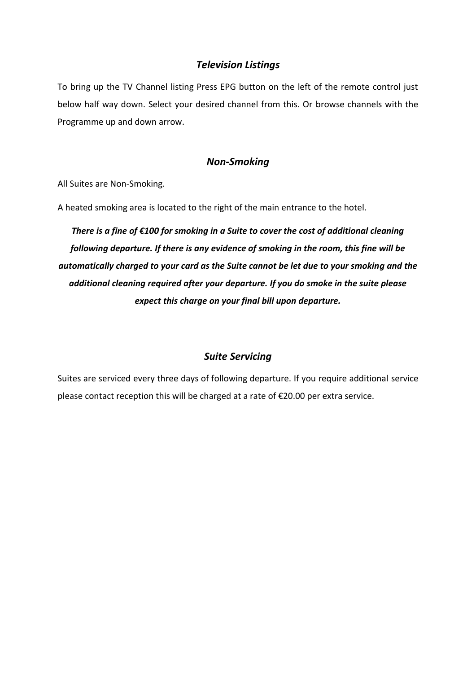## *Television Listings*

To bring up the TV Channel listing Press EPG button on the left of the remote control just below half way down. Select your desired channel from this. Or browse channels with the Programme up and down arrow.

## *Non-Smoking*

All Suites are Non-Smoking.

A heated smoking area is located to the right of the main entrance to the hotel.

*There is a fine of €100 for smoking in a Suite to cover the cost of additional cleaning following departure. If there is any evidence of smoking in the room, this fine will be automatically charged to your card as the Suite cannot be let due to your smoking and the additional cleaning required after your departure. If you do smoke in the suite please expect this charge on your final bill upon departure.*

## *Suite Servicing*

Suites are serviced every three days of following departure. If you require additional service please contact reception this will be charged at a rate of €20.00 per extra service.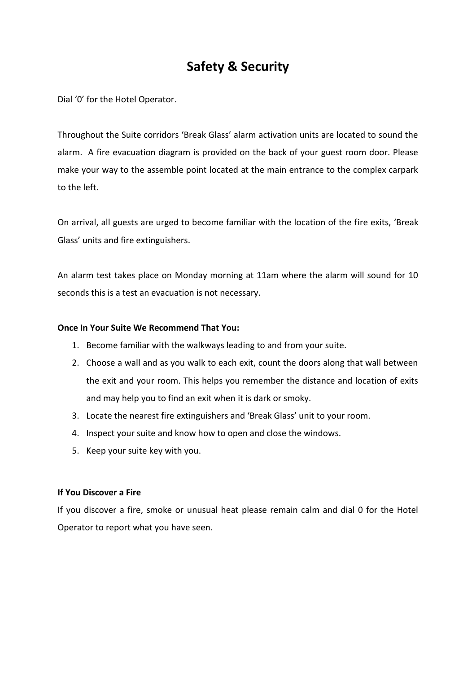# **Safety & Security**

Dial '0' for the Hotel Operator.

Throughout the Suite corridors 'Break Glass' alarm activation units are located to sound the alarm. A fire evacuation diagram is provided on the back of your guest room door. Please make your way to the assemble point located at the main entrance to the complex carpark to the left.

On arrival, all guests are urged to become familiar with the location of the fire exits, 'Break Glass' units and fire extinguishers.

An alarm test takes place on Monday morning at 11am where the alarm will sound for 10 seconds this is a test an evacuation is not necessary.

### **Once In Your Suite We Recommend That You:**

- 1. Become familiar with the walkways leading to and from your suite.
- 2. Choose a wall and as you walk to each exit, count the doors along that wall between the exit and your room. This helps you remember the distance and location of exits and may help you to find an exit when it is dark or smoky.
- 3. Locate the nearest fire extinguishers and 'Break Glass' unit to your room.
- 4. Inspect your suite and know how to open and close the windows.
- 5. Keep your suite key with you.

### **If You Discover a Fire**

If you discover a fire, smoke or unusual heat please remain calm and dial 0 for the Hotel Operator to report what you have seen.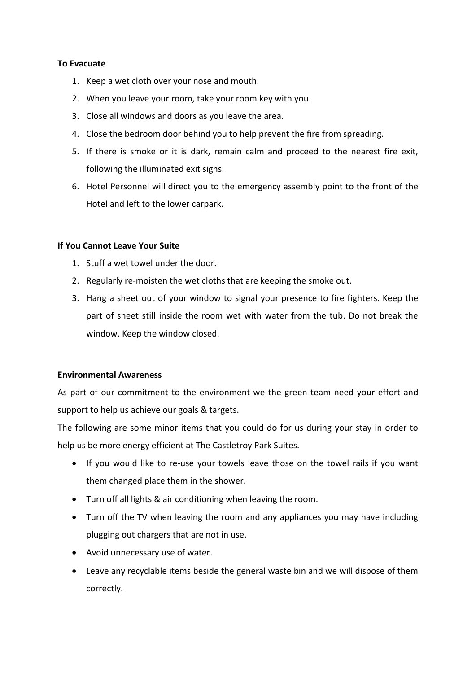### **To Evacuate**

- 1. Keep a wet cloth over your nose and mouth.
- 2. When you leave your room, take your room key with you.
- 3. Close all windows and doors as you leave the area.
- 4. Close the bedroom door behind you to help prevent the fire from spreading.
- 5. If there is smoke or it is dark, remain calm and proceed to the nearest fire exit, following the illuminated exit signs.
- 6. Hotel Personnel will direct you to the emergency assembly point to the front of the Hotel and left to the lower carpark.

### **If You Cannot Leave Your Suite**

- 1. Stuff a wet towel under the door.
- 2. Regularly re-moisten the wet cloths that are keeping the smoke out.
- 3. Hang a sheet out of your window to signal your presence to fire fighters. Keep the part of sheet still inside the room wet with water from the tub. Do not break the window. Keep the window closed.

### **Environmental Awareness**

As part of our commitment to the environment we the green team need your effort and support to help us achieve our goals & targets.

The following are some minor items that you could do for us during your stay in order to help us be more energy efficient at The Castletroy Park Suites.

- If you would like to re-use your towels leave those on the towel rails if you want them changed place them in the shower.
- Turn off all lights & air conditioning when leaving the room.
- Turn off the TV when leaving the room and any appliances you may have including plugging out chargers that are not in use.
- Avoid unnecessary use of water.
- Leave any recyclable items beside the general waste bin and we will dispose of them correctly.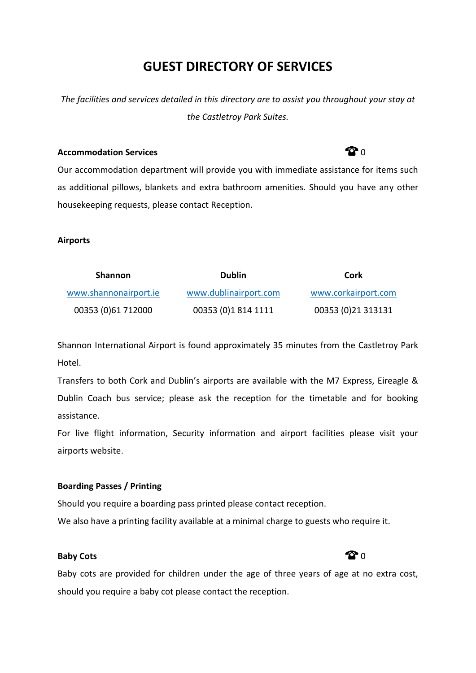# **GUEST DIRECTORY OF SERVICES**

*The facilities and services detailed in this directory are to assist you throughout your stay at the Castletroy Park Suites.*

### **Accommodation Services 1988 1988 1988 1988 1988 1988 1988 1988 1988 1988 1988 1988 1988 1988 1988 1988 1988 1988 1988 1988 1988 1988 1988 1988 1988 1988 1988 1988**

Our accommodation department will provide you with immediate assistance for items such as additional pillows, blankets and extra bathroom amenities. Should you have any other housekeeping requests, please contact Reception.

### **Airports**

| <b>Shannon</b>        | <b>Dublin</b>         | Cork                |
|-----------------------|-----------------------|---------------------|
| www.shannonairport.ie | www.dublinairport.com | www.corkairport.com |
| 00353 (0)61 712000    | 00353 (0)1 814 1111   | 00353 (0)21 313131  |

Shannon International Airport is found approximately 35 minutes from the Castletroy Park Hotel.

Transfers to both Cork and Dublin's airports are available with the M7 Express, Eireagle & Dublin Coach bus service; please ask the reception for the timetable and for booking assistance.

For live flight information, Security information and airport facilities please visit your airports website.

## **Boarding Passes / Printing**

Should you require a boarding pass printed please contact reception.

We also have a printing facility available at a minimal charge to guests who require it.

## **Baby Cots Contract Contract Contract Contract Contract Contract Contract Contract Contract Contract Contract Contract Contract Contract Contract Contract Contract Contract Contract Contract Contract Contract Contract Co**

Baby cots are provided for children under the age of three years of age at no extra cost, should you require a baby cot please contact the reception.

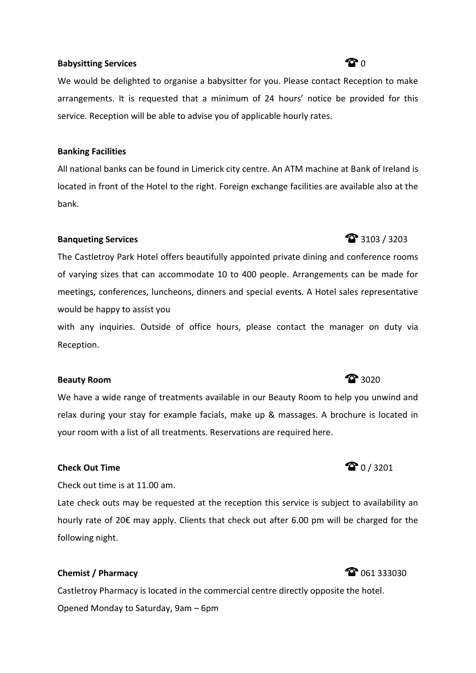### **Babysitting Services 1988 1988 1988 1988 1988 1988 1988 1988 1988 1988 1988 1988 1988 1988 1988 1988 1988 1988 1988 1988 1988 1988 1988 1988 1988 1988 1988 1988 19**

We would be delighted to organise a babysitter for you. Please contact Reception to make arrangements. It is requested that a minimum of 24 hours' notice be provided for this service. Reception will be able to advise you of applicable hourly rates.

#### **Banking Facilities**

All national banks can be found in Limerick city centre. An ATM machine at Bank of Ireland is located in front of the Hotel to the right. Foreign exchange facilities are available also at the bank.

### **Banqueting Services** 3103 / 3203

The Castletroy Park Hotel offers beautifully appointed private dining and conference rooms of varying sizes that can accommodate 10 to 400 people. Arrangements can be made for meetings, conferences, luncheons, dinners and special events. A Hotel sales representative would be happy to assist you

with any inquiries. Outside of office hours, please contact the manager on duty via Reception.

## **Beauty Room 3020**

We have a wide range of treatments available in our Beauty Room to help you unwind and relax during your stay for example facials, make up & massages. A brochure is located in your room with a list of all treatments. Reservations are required here.

## **Check Out Time Check Out Time 1 / 3201**

Check out time is at 11.00 am.

Late check outs may be requested at the reception this service is subject to availability an hourly rate of 20€ may apply. Clients that check out after 6.00 pm will be charged for the following night.

## **Chemist / Pharmacy Chemist / Pharmacy Chemist Chemist Chemist Chemist Chemist Chemist Chemist Chemist Chemist Chemist Chemist Chemist Chemist Chemist Chemist Chemist Chemist Chemist**

Castletroy Pharmacy is located in the commercial centre directly opposite the hotel. Opened Monday to Saturday, 9am – 6pm

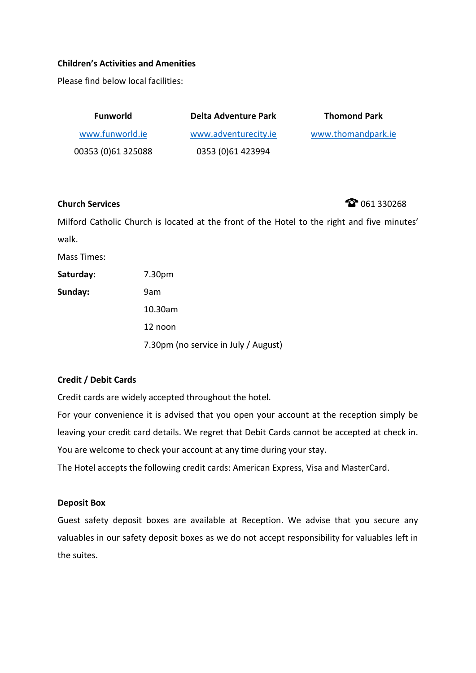### **Children's Activities and Amenities**

Please find below local facilities:

| <b>Funworld</b>    | <b>Delta Adventure Park</b> | <b>Thomond Park</b> |
|--------------------|-----------------------------|---------------------|
| www.funworld.ie    | www.adventurecity.ie        | www.thomandpark.ie  |
| 00353 (0)61 325088 | 0353 (0)61 423994           |                     |

**Church Services Church Services 161 330268** 

Milford Catholic Church is located at the front of the Hotel to the right and five minutes' walk.

Mass Times:

Saturday: 7.30pm

**Sunday:** 9am

10.30am

12 noon

7.30pm (no service in July / August)

## **Credit / Debit Cards**

Credit cards are widely accepted throughout the hotel.

For your convenience it is advised that you open your account at the reception simply be leaving your credit card details. We regret that Debit Cards cannot be accepted at check in. You are welcome to check your account at any time during your stay.

The Hotel accepts the following credit cards: American Express, Visa and MasterCard.

### **Deposit Box**

Guest safety deposit boxes are available at Reception. We advise that you secure any valuables in our safety deposit boxes as we do not accept responsibility for valuables left in the suites.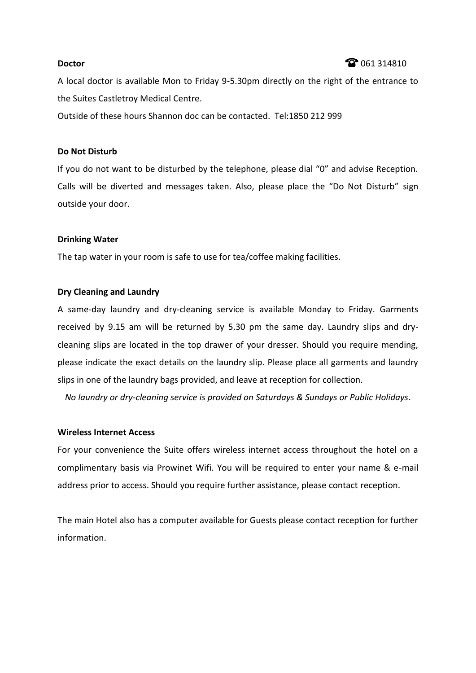### **Doctor Contact Contact Contact Contact Contact Contact Contact Contact Contact Contact Contact Contact Contact Contact Contact Contact Contact Contact Contact Contact Contact Contact Contact Contact Contact Contact Cont**

A local doctor is available Mon to Friday 9-5.30pm directly on the right of the entrance to the Suites Castletroy Medical Centre.

Outside of these hours Shannon doc can be contacted. Tel:1850 212 999

#### **Do Not Disturb**

If you do not want to be disturbed by the telephone, please dial "0" and advise Reception. Calls will be diverted and messages taken. Also, please place the "Do Not Disturb" sign outside your door.

#### **Drinking Water**

The tap water in your room is safe to use for tea/coffee making facilities.

#### **Dry Cleaning and Laundry**

A same-day laundry and dry-cleaning service is available Monday to Friday. Garments received by 9.15 am will be returned by 5.30 pm the same day. Laundry slips and drycleaning slips are located in the top drawer of your dresser. Should you require mending, please indicate the exact details on the laundry slip. Please place all garments and laundry slips in one of the laundry bags provided, and leave at reception for collection.

*No laundry or dry-cleaning service is provided on Saturdays & Sundays or Public Holidays*.

#### **Wireless Internet Access**

For your convenience the Suite offers wireless internet access throughout the hotel on a complimentary basis via Prowinet Wifi. You will be required to enter your name & e-mail address prior to access. Should you require further assistance, please contact reception.

The main Hotel also has a computer available for Guests please contact reception for further information.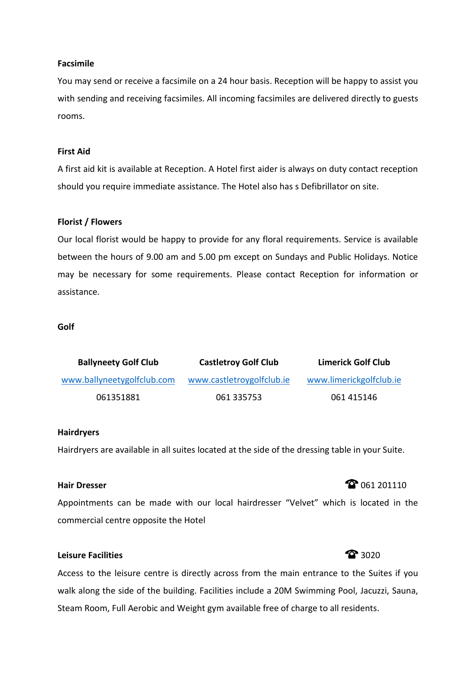#### **Facsimile**

You may send or receive a facsimile on a 24 hour basis. Reception will be happy to assist you with sending and receiving facsimiles. All incoming facsimiles are delivered directly to guests rooms.

#### **First Aid**

A first aid kit is available at Reception. A Hotel first aider is always on duty contact reception should you require immediate assistance. The Hotel also has s Defibrillator on site.

#### **Florist / Flowers**

Our local florist would be happy to provide for any floral requirements. Service is available between the hours of 9.00 am and 5.00 pm except on Sundays and Public Holidays. Notice may be necessary for some requirements. Please contact Reception for information or assistance.

#### **Golf**

| <b>Ballyneety Golf Club</b> | <b>Castletroy Golf Club</b> | <b>Limerick Golf Club</b> |
|-----------------------------|-----------------------------|---------------------------|
| www.ballyneetygolfclub.com  | www.castletroygolfclub.ie   | www.limerickgolfclub.ie   |
| 061351881                   | 061 335753                  | 061 415146                |

#### **Hairdryers**

Hairdryers are available in all suites located at the side of the dressing table in your Suite.

## **Hair Dresser** 201110

Appointments can be made with our local hairdresser "Velvet" which is located in the commercial centre opposite the Hotel

## **Leisure Facilities 3020**

Access to the leisure centre is directly across from the main entrance to the Suites if you walk along the side of the building. Facilities include a 20M Swimming Pool, Jacuzzi, Sauna, Steam Room, Full Aerobic and Weight gym available free of charge to all residents.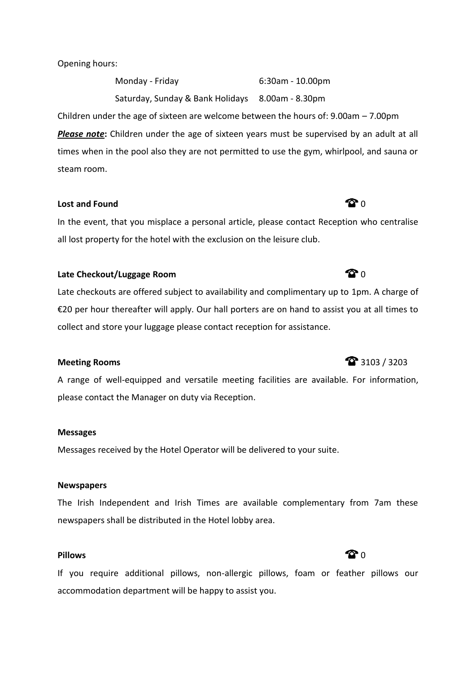Opening hours:

Monday - Friday 6:30am - 10.00pm Saturday, Sunday & Bank Holidays 8.00am - 8.30pm Children under the age of sixteen are welcome between the hours of: 9.00am – 7.00pm

**Please note**: Children under the age of sixteen years must be supervised by an adult at all times when in the pool also they are not permitted to use the gym, whirlpool, and sauna or steam room.

## **Lost and Found 0.000 CONTINUISTIC CONTINUIST 1.000 CONTINUIST 1.000 CONTINUIST 1.000 CONTINUIST 1.000 CONTINUIST**

In the event, that you misplace a personal article, please contact Reception who centralise all lost property for the hotel with the exclusion on the leisure club.

## **Late Checkout/Luggage Room 0.000 CM** 0.000 CM

Late checkouts are offered subject to availability and complimentary up to 1pm. A charge of €20 per hour thereafter will apply. Our hall porters are on hand to assist you at all times to collect and store your luggage please contact reception for assistance.

### **Meeting Rooms** 3103 / 3203

A range of well-equipped and versatile meeting facilities are available. For information, please contact the Manager on duty via Reception.

#### **Messages**

Messages received by the Hotel Operator will be delivered to your suite.

#### **Newspapers**

The Irish Independent and Irish Times are available complementary from 7am these newspapers shall be distributed in the Hotel lobby area.

### **Pillows CO 1**

If you require additional pillows, non-allergic pillows, foam or feather pillows our accommodation department will be happy to assist you.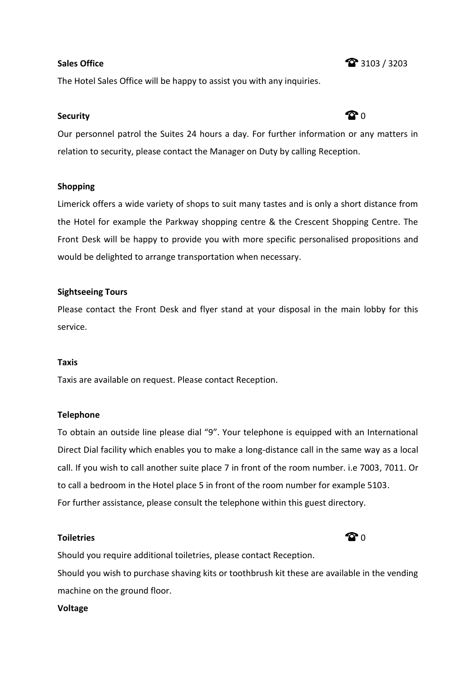The Hotel Sales Office will be happy to assist you with any inquiries.

## **Security Constants in the constant of**  $\Omega$   $\Omega$

Our personnel patrol the Suites 24 hours a day. For further information or any matters in relation to security, please contact the Manager on Duty by calling Reception.

#### **Shopping**

Limerick offers a wide variety of shops to suit many tastes and is only a short distance from the Hotel for example the Parkway shopping centre & the Crescent Shopping Centre. The Front Desk will be happy to provide you with more specific personalised propositions and would be delighted to arrange transportation when necessary.

#### **Sightseeing Tours**

Please contact the Front Desk and flyer stand at your disposal in the main lobby for this service.

### **Taxis**

Taxis are available on request. Please contact Reception.

#### **Telephone**

To obtain an outside line please dial "9". Your telephone is equipped with an International Direct Dial facility which enables you to make a long-distance call in the same way as a local call. If you wish to call another suite place 7 in front of the room number. i.e 7003, 7011. Or to call a bedroom in the Hotel place 5 in front of the room number for example 5103. For further assistance, please consult the telephone within this guest directory.

#### **Toiletries** 0

Should you require additional toiletries, please contact Reception. Should you wish to purchase shaving kits or toothbrush kit these are available in the vending machine on the ground floor.

#### **Voltage**

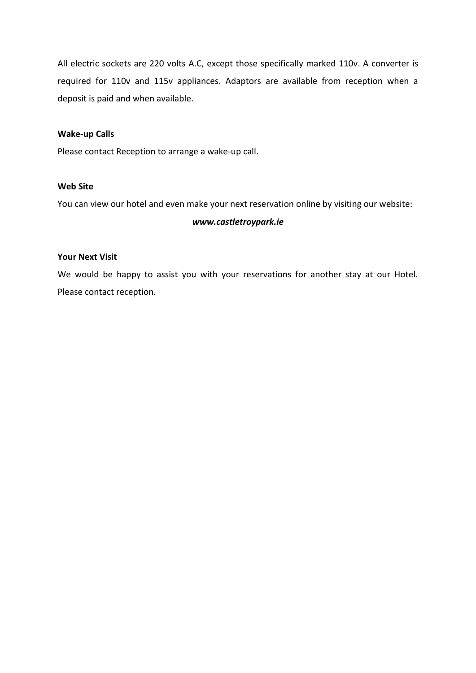All electric sockets are 220 volts A.C, except those specifically marked 110v. A converter is required for 110v and 115v appliances. Adaptors are available from reception when a deposit is paid and when available.

#### **Wake-up Calls**

Please contact Reception to arrange a wake-up call.

#### **Web Site**

You can view our hotel and even make your next reservation online by visiting our website:

#### *www.castletroypark.ie*

#### **Your Next Visit**

We would be happy to assist you with your reservations for another stay at our Hotel. Please contact reception.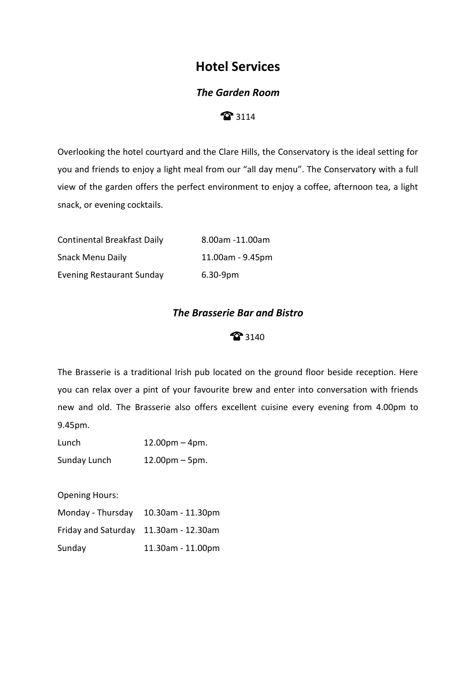# **Hotel Services**

## *The Garden Room*

## 3114

Overlooking the hotel courtyard and the Clare Hills, the Conservatory is the ideal setting for you and friends to enjoy a light meal from our "all day menu". The Conservatory with a full view of the garden offers the perfect environment to enjoy a coffee, afternoon tea, a light snack, or evening cocktails.

| <b>Continental Breakfast Daily</b> | 8.00am -11.00am        |
|------------------------------------|------------------------|
| <b>Snack Menu Daily</b>            | $11.00$ am - $9.45$ pm |
| <b>Evening Restaurant Sunday</b>   | $6.30 - 9pm$           |

## *The Brasserie Bar and Bistro*

## 3140

The Brasserie is a traditional Irish pub located on the ground floor beside reception. Here you can relax over a pint of your favourite brew and enter into conversation with friends new and old. The Brasserie also offers excellent cuisine every evening from 4.00pm to 9.45pm.

| Lunch        | $12.00 \text{pm} - 4 \text{pm}$ . |
|--------------|-----------------------------------|
| Sunday Lunch | $12.00 \text{pm} - 5 \text{pm}$ . |

Opening Hours:

| Monday - Thursday 10.30am - 11.30pm   |                   |
|---------------------------------------|-------------------|
| Friday and Saturday 11.30am - 12.30am |                   |
| Sunday                                | 11.30am - 11.00pm |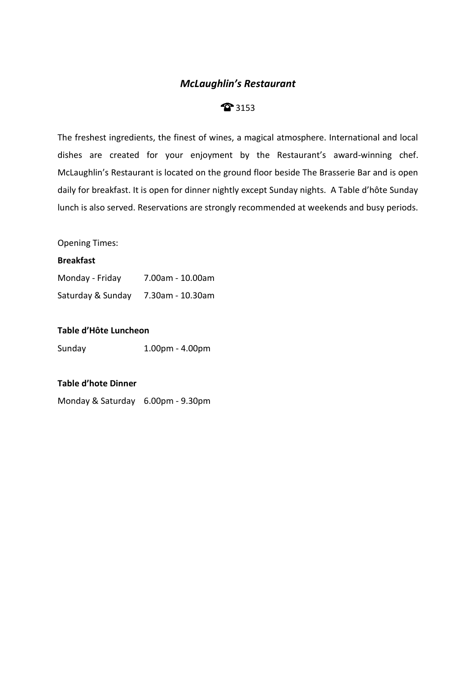## *McLaughlin's Restaurant*

## **3153**

The freshest ingredients, the finest of wines, a magical atmosphere. International and local dishes are created for your enjoyment by the Restaurant's award-winning chef. McLaughlin's Restaurant is located on the ground floor beside The Brasserie Bar and is open daily for breakfast. It is open for dinner nightly except Sunday nights. A Table d'hôte Sunday lunch is also served. Reservations are strongly recommended at weekends and busy periods.

Opening Times:

#### **Breakfast**

| Monday - Friday   | 7.00am - 10.00am |
|-------------------|------------------|
| Saturday & Sunday | 7.30am - 10.30am |

#### **Table d'Hôte Luncheon**

Sunday 1.00pm - 4.00pm

## **Table d'hote Dinner**

Monday & Saturday 6.00pm - 9.30pm